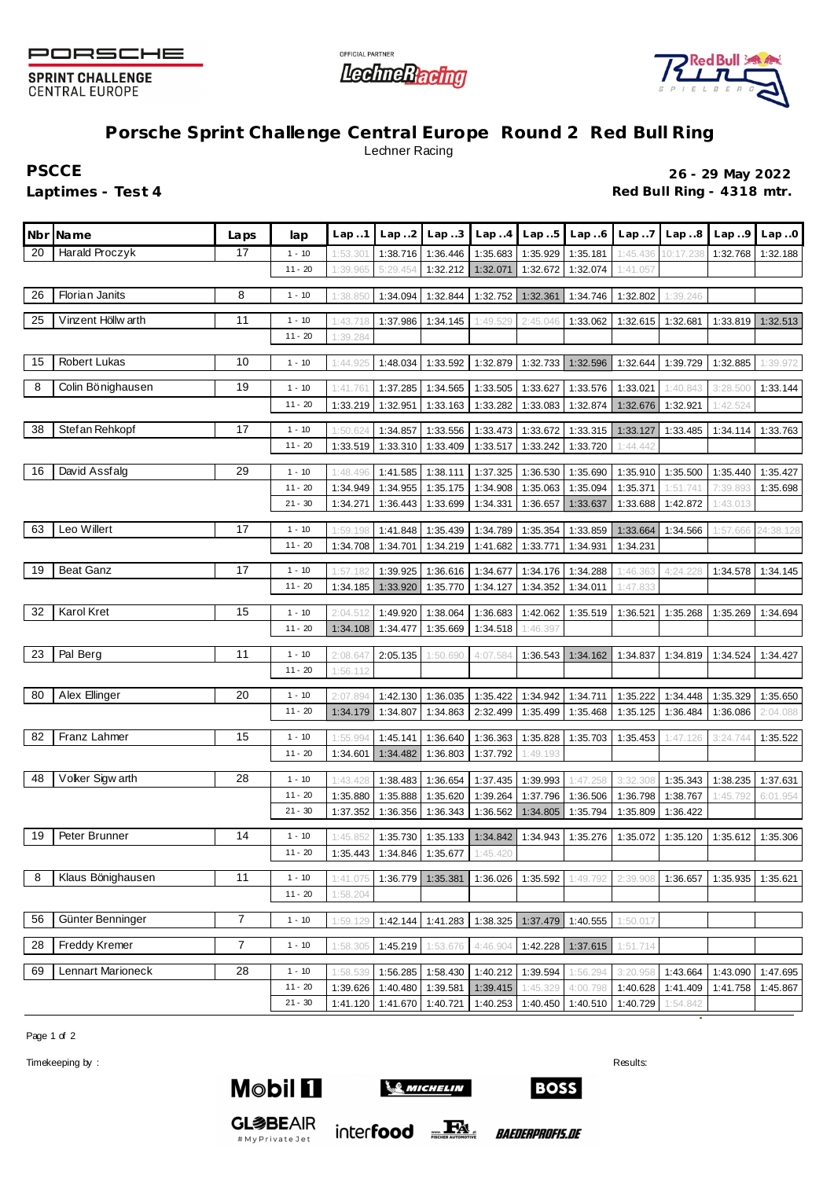

**SPRINT CHALLENGE CENTRAL EUROPE** 





## **Porsche Sprint Challenge Central Europe Round 2 Red Bull Ring** Lechner Racing

**PSCCE 26 - 29 May 2022** Laptimes - Test 4 *Red Bull Ring - 4318 mtr.* **Red Bull Ring - 4318 mtr.** 

|    | Nbr Name           | Laps | lap       | Lap.1    | Lap. .2  | Lap.3                          | Lap.4    | Lap.5                      | Lap.6    | Lap.7    | Lap.8     | Lap.9    | Lap.0     |
|----|--------------------|------|-----------|----------|----------|--------------------------------|----------|----------------------------|----------|----------|-----------|----------|-----------|
| 20 | Harald Proczyk     | 17   | $1 - 10$  | 1:53.30' | 1:38.716 | 1:36.446                       | 1:35.683 | 1:35.929                   | 1:35.181 | 1:45.436 | 10:17.238 | 1:32.768 | 1:32.188  |
|    |                    |      | $11 - 20$ | 1:39.965 | 5:29.454 | 1:32.212                       | 1:32.071 | 1:32.672                   | 1:32.074 | 1:41.057 |           |          |           |
| 26 | Florian Janits     | 8    | $1 - 10$  | 1:38.850 | 1:34.094 | 1:32.844                       | 1:32.752 | 1:32.361                   | 1:34.746 | 1:32.802 | 1:39.246  |          |           |
| 25 | Vinzent Höllw arth | 11   | $1 - 10$  | 1:43.718 | 1:37.986 | 1:34.145                       | 1:49.529 | 2:45.046                   | 1:33.062 | 1:32.615 | 1:32.681  | 1:33.819 | 1:32.513  |
|    |                    |      | $11 - 20$ | 1:39.284 |          |                                |          |                            |          |          |           |          |           |
|    |                    |      |           |          |          |                                |          |                            |          |          |           |          |           |
| 15 | Robert Lukas       | 10   | $1 - 10$  | 1:44.925 | 1:48.034 | 1:33.592                       | 1:32.879 | 1:32.733                   | 1:32.596 | 1:32.644 | 1:39.729  | 1:32.885 | 1:39.972  |
| 8  | Colin Bönighausen  | 19   | $1 - 10$  | 1:41.761 | 1:37.285 | 1:34.565                       | 1:33.505 | 1:33.627                   | 1:33.576 | 1:33.021 | 1:40.843  | 3:28.500 | 1:33.144  |
|    |                    |      | $11 - 20$ | 1:33.219 | 1:32.951 | 1:33.163                       | 1:33.282 | 1:33.083                   | 1:32.874 | 1:32.676 | 1:32.921  | 1:42.524 |           |
| 38 | Stef an Rehkopf    | 17   | $1 - 10$  | 1:50.624 | 1:34.857 | 1:33.556                       | 1:33.473 | 1:33.672                   | 1:33.315 | 1:33.127 | 1:33.485  | 1:34.114 | 1:33.763  |
|    |                    |      | $11 - 20$ | 1:33.519 | 1:33.310 | 1:33.409                       | 1:33.517 | 1:33.242                   | 1:33.720 | 1:44.442 |           |          |           |
| 16 | David Assfalg      | 29   | $1 - 10$  | 1:48.496 | 1:41.585 | 1:38.111                       | 1:37.325 | 1:36.530                   | 1:35.690 | 1:35.910 | 1:35.500  | 1:35.440 | 1:35.427  |
|    |                    |      | $11 - 20$ | 1:34.949 | 1:34.955 | 1:35.175                       | 1:34.908 | 1:35.063                   | 1:35.094 | 1:35.371 | 1:51.741  | 7:39.893 | 1:35.698  |
|    |                    |      | $21 - 30$ | 1:34.271 | 1:36.443 | 1:33.699                       | 1:34.331 | 1:36.657                   | 1:33.637 | 1:33.688 | 1:42.872  | 1:43.013 |           |
|    |                    |      |           |          |          |                                |          |                            |          |          |           |          |           |
| 63 | Leo Willert        | 17   | $1 - 10$  | 1:59.198 | 1:41.848 | 1:35.439                       | 1:34.789 | 1:35.354                   | 1:33.859 | 1:33.664 | 1:34.566  | 1:57.666 | 24:38.128 |
|    |                    |      | $11 - 20$ | 1:34.708 | 1:34.701 | 1:34.219                       | 1:41.682 | 1:33.771                   | 1:34.931 | 1:34.231 |           |          |           |
| 19 | <b>Beat Ganz</b>   | 17   | $1 - 10$  | 1:57.182 | 1:39.925 | 1:36.616                       | 1:34.677 | 1:34.176                   | 1:34.288 | 1:46.363 | 4:24.228  | 1:34.578 | 1:34.145  |
|    |                    |      | $11 - 20$ | 1:34.185 | 1:33.920 | 1:35.770                       | 1:34.127 | 1:34.352                   | 1:34.011 | 1:47.833 |           |          |           |
|    |                    |      |           |          |          |                                |          |                            |          |          |           |          |           |
| 32 | Karol Kret         | 15   | $1 - 10$  | 2:04.512 | 1:49.920 | 1:38.064                       | 1:36.683 | 1:42.062                   | 1:35.519 | 1:36.521 | 1:35.268  | 1:35.269 | 1:34.694  |
|    |                    |      | $11 - 20$ | 1:34.108 | 1:34.477 | 1:35.669                       | 1:34.518 | 1:46.397                   |          |          |           |          |           |
| 23 | Pal Berg           | 11   | $1 - 10$  | 2:08.647 | 2:05.135 | 1:50.690                       | 4:07.584 | 1:36.543                   | 1:34.162 | 1:34.837 | 1:34.819  | 1:34.524 | 1:34.427  |
|    |                    |      | $11 - 20$ | 1:56.112 |          |                                |          |                            |          |          |           |          |           |
|    |                    |      |           |          |          |                                |          |                            |          |          |           |          |           |
| 80 | Alex Ellinger      | 20   | $1 - 10$  | 2:07.89  | 1:42.130 | 1:36.035                       | 1:35.422 | 1:34.942                   | 1:34.711 | 1:35.222 | 1:34.448  | 1:35.329 | 1:35.650  |
|    |                    |      | $11 - 20$ | 1:34.179 | 1:34.807 | 1:34.863                       | 2:32.499 | 1:35.499                   | 1:35.468 | 1:35.125 | 1:36.484  | 1:36.086 | 2:04.088  |
| 82 | Franz Lahmer       | 15   | $1 - 10$  | 1:55.994 | 1:45.141 | 1:36.640                       | 1:36.363 | 1:35.828                   | 1:35.703 | 1:35.453 | 1:47.126  | 3:24.744 | 1:35.522  |
|    |                    |      | $11 - 20$ | 1:34.601 | 1:34.482 | 1:36.803                       | 1:37.792 | 1:49.193                   |          |          |           |          |           |
|    |                    |      |           |          |          |                                |          |                            |          |          |           |          |           |
| 48 | Voker Sigw arth    | 28   | $1 - 10$  | 1:43.428 | 1:38.483 | 1:36.654                       | 1:37.435 | 1:39.993                   | 1:47.258 | 3:32.308 | 1:35.343  | 1:38.235 | 1:37.631  |
|    |                    |      | $11 - 20$ | 1:35.880 | 1:35.888 | 1:35.620                       | 1:39.264 | 1:37.796                   | 1:36.506 | 1:36.798 | 1:38.767  | 1:45.792 | 6:01.954  |
|    |                    |      | $21 - 30$ | 1:37.352 | 1:36.356 | 1:36.343                       | 1:36.562 | 1:34.805                   | 1:35.794 | 1:35.809 | 1:36.422  |          |           |
| 19 | Peter Brunner      | 14   | $1 - 10$  | 1:45.852 | 1:35.730 | 1:35.133                       | 1:34.842 | 1:34.943                   | 1:35.276 | 1:35.072 | 1:35.120  | 1:35.612 | 1:35.306  |
|    |                    |      | $11 - 20$ |          |          | 1:35.443   1:34.846   1:35.677 | 1:45.420 |                            |          |          |           |          |           |
|    |                    |      |           |          |          |                                |          |                            |          |          |           |          |           |
| 8  | Klaus Bönighausen  | 11   | $1 - 10$  | 1:41.075 | 1:36.779 | 1:35.381                       | 1:36.026 | 1:35.592                   | 1:49.792 | 2:39.908 | 1:36.657  | 1:35.935 | 1:35.621  |
|    |                    |      | $11 - 20$ | 1:58.204 |          |                                |          |                            |          |          |           |          |           |
| 56 | Günter Benninger   | 7    | $1 - 10$  | 1:59.129 | 1:42.144 | 1:41.283                       | 1:38.325 | 1:37.479                   | 1:40.555 | 1:50.017 |           |          |           |
| 28 | Freddy Kremer      | 7    | $1 - 10$  | 1:58.305 | 1:45.219 | 1:53.676                       | 4:46.904 | 1:42.228                   | 1:37.615 | 1:51.714 |           |          |           |
|    |                    |      |           |          |          |                                |          |                            |          |          |           |          |           |
| 69 | Lennart Marioneck  | 28   | $1 - 10$  | 1:58.539 | 1:56.285 | 1:58.430                       | 1:40.212 | 1:39.594                   | 1:56.294 | 3:20.95  | 1:43.664  | 1:43.090 | 1:47.695  |
|    |                    |      | $11 - 20$ | 1:39.626 | 1:40.480 | 1:39.581                       | 1:39.415 | 1:45.329                   | 4:00.798 | 1:40.628 | 1:41.409  | 1:41.758 | 1:45.867  |
|    |                    |      | $21 - 30$ | 1:41.120 | 1:41.670 | 1:40.721                       |          | 1:40.253 1:40.450 1:40.510 |          | 1:40.729 | 1:54.842  |          |           |

Page 1 of 2

Timekeeping by : Results:



**GL参BEAIR** 

#MyPrivateJet



inter**food**  $\frac{1}{\text{resat} + \text{resat} + \text{resat} + \text{resat}}$ 



**BOSS** 

*BAEDERPROFIS.DE*